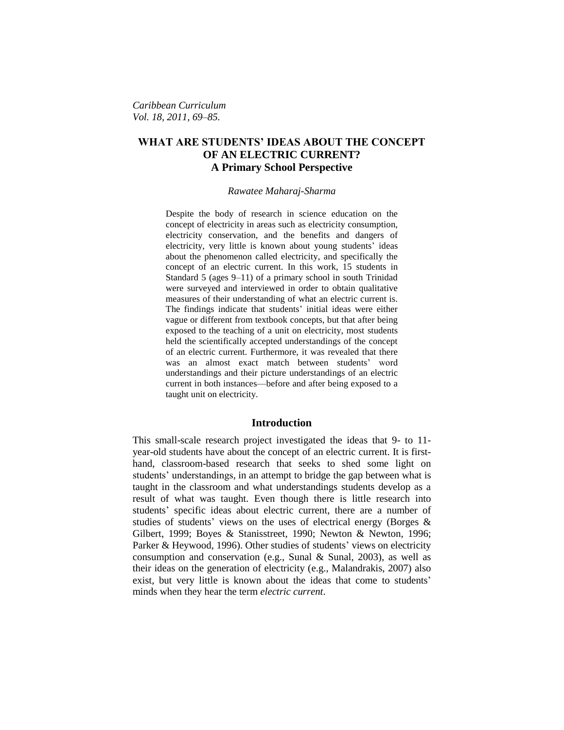*Caribbean Curriculum Vol. 18, 2011, 69–85.*

## **WHAT ARE STUDENTS' IDEAS ABOUT THE CONCEPT OF AN ELECTRIC CURRENT? A Primary School Perspective**

*Rawatee Maharaj-Sharma*

Despite the body of research in science education on the concept of electricity in areas such as electricity consumption, electricity conservation, and the benefits and dangers of electricity, very little is known about young students' ideas about the phenomenon called electricity, and specifically the concept of an electric current. In this work, 15 students in Standard 5 (ages 9–11) of a primary school in south Trinidad were surveyed and interviewed in order to obtain qualitative measures of their understanding of what an electric current is. The findings indicate that students' initial ideas were either vague or different from textbook concepts, but that after being exposed to the teaching of a unit on electricity, most students held the scientifically accepted understandings of the concept of an electric current. Furthermore, it was revealed that there was an almost exact match between students' word understandings and their picture understandings of an electric current in both instances—before and after being exposed to a taught unit on electricity.

#### **Introduction**

This small-scale research project investigated the ideas that 9- to 11 year-old students have about the concept of an electric current. It is firsthand, classroom-based research that seeks to shed some light on students' understandings, in an attempt to bridge the gap between what is taught in the classroom and what understandings students develop as a result of what was taught. Even though there is little research into students' specific ideas about electric current, there are a number of studies of students' views on the uses of electrical energy (Borges & Gilbert, 1999; Boyes & Stanisstreet, 1990; Newton & Newton, 1996; Parker & Heywood, 1996). Other studies of students' views on electricity consumption and conservation (e.g., Sunal & Sunal, 2003), as well as their ideas on the generation of electricity (e.g., Malandrakis, 2007) also exist, but very little is known about the ideas that come to students' minds when they hear the term *electric current*.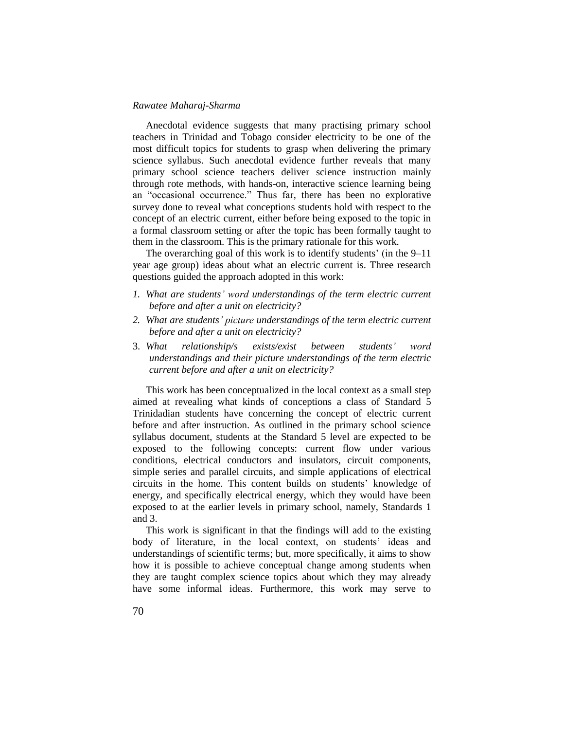Anecdotal evidence suggests that many practising primary school teachers in Trinidad and Tobago consider electricity to be one of the most difficult topics for students to grasp when delivering the primary science syllabus. Such anecdotal evidence further reveals that many primary school science teachers deliver science instruction mainly through rote methods, with hands-on, interactive science learning being an "occasional occurrence." Thus far, there has been no explorative survey done to reveal what conceptions students hold with respect to the concept of an electric current, either before being exposed to the topic in a formal classroom setting or after the topic has been formally taught to them in the classroom. This is the primary rationale for this work.

The overarching goal of this work is to identify students' (in the 9–11 year age group) ideas about what an electric current is. Three research questions guided the approach adopted in this work:

- *1. What are students' word understandings of the term electric current before and after a unit on electricity?*
- *2. What are students' picture understandings of the term electric current before and after a unit on electricity?*
- 3. *What relationship/s exists/exist between students' word understandings and their picture understandings of the term electric current before and after a unit on electricity?*

This work has been conceptualized in the local context as a small step aimed at revealing what kinds of conceptions a class of Standard 5 Trinidadian students have concerning the concept of electric current before and after instruction. As outlined in the primary school science syllabus document, students at the Standard 5 level are expected to be exposed to the following concepts: current flow under various conditions, electrical conductors and insulators, circuit components, simple series and parallel circuits, and simple applications of electrical circuits in the home. This content builds on students' knowledge of energy, and specifically electrical energy, which they would have been exposed to at the earlier levels in primary school, namely, Standards 1 and 3.

This work is significant in that the findings will add to the existing body of literature, in the local context, on students' ideas and understandings of scientific terms; but, more specifically, it aims to show how it is possible to achieve conceptual change among students when they are taught complex science topics about which they may already have some informal ideas. Furthermore, this work may serve to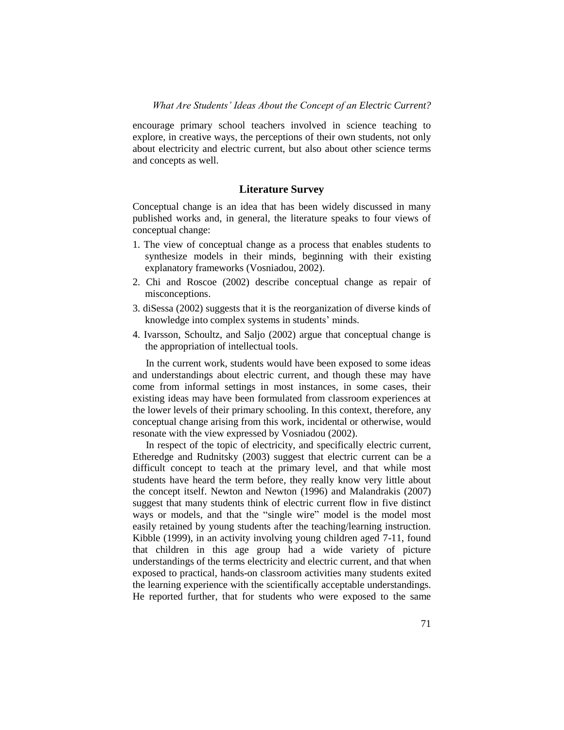encourage primary school teachers involved in science teaching to explore, in creative ways, the perceptions of their own students, not only about electricity and electric current, but also about other science terms and concepts as well.

#### **Literature Survey**

Conceptual change is an idea that has been widely discussed in many published works and, in general, the literature speaks to four views of conceptual change:

- 1. The view of conceptual change as a process that enables students to synthesize models in their minds, beginning with their existing explanatory frameworks (Vosniadou, 2002).
- 2. Chi and Roscoe (2002) describe conceptual change as repair of misconceptions.
- 3. diSessa (2002) suggests that it is the reorganization of diverse kinds of knowledge into complex systems in students' minds.
- 4. Ivarsson, Schoultz, and Saljo (2002) argue that conceptual change is the appropriation of intellectual tools.

In the current work, students would have been exposed to some ideas and understandings about electric current, and though these may have come from informal settings in most instances, in some cases, their existing ideas may have been formulated from classroom experiences at the lower levels of their primary schooling. In this context, therefore, any conceptual change arising from this work, incidental or otherwise, would resonate with the view expressed by Vosniadou (2002).

In respect of the topic of electricity, and specifically electric current, Etheredge and Rudnitsky (2003) suggest that electric current can be a difficult concept to teach at the primary level, and that while most students have heard the term before, they really know very little about the concept itself. Newton and Newton (1996) and Malandrakis (2007) suggest that many students think of electric current flow in five distinct ways or models, and that the "single wire" model is the model most easily retained by young students after the teaching/learning instruction. Kibble (1999), in an activity involving young children aged 7-11, found that children in this age group had a wide variety of picture understandings of the terms electricity and electric current, and that when exposed to practical, hands-on classroom activities many students exited the learning experience with the scientifically acceptable understandings. He reported further, that for students who were exposed to the same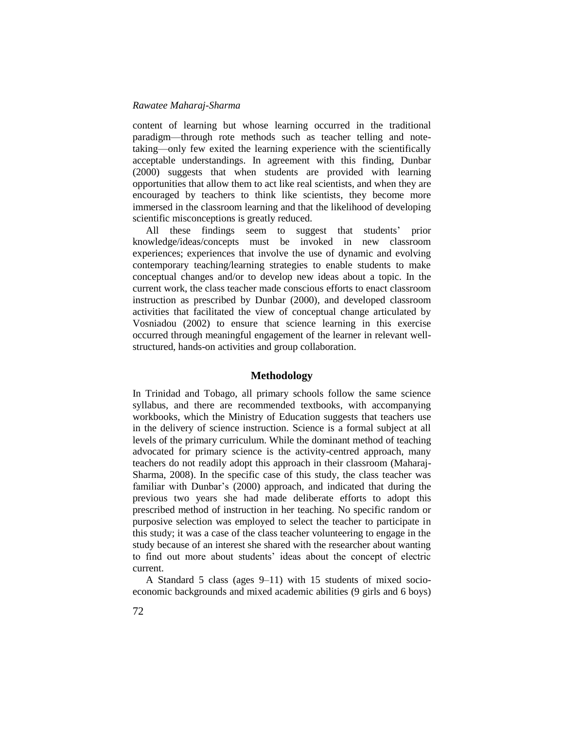content of learning but whose learning occurred in the traditional paradigm—through rote methods such as teacher telling and notetaking—only few exited the learning experience with the scientifically acceptable understandings. In agreement with this finding, Dunbar (2000) suggests that when students are provided with learning opportunities that allow them to act like real scientists, and when they are encouraged by teachers to think like scientists, they become more immersed in the classroom learning and that the likelihood of developing scientific misconceptions is greatly reduced.

All these findings seem to suggest that students' prior knowledge/ideas/concepts must be invoked in new classroom experiences; experiences that involve the use of dynamic and evolving contemporary teaching/learning strategies to enable students to make conceptual changes and/or to develop new ideas about a topic. In the current work, the class teacher made conscious efforts to enact classroom instruction as prescribed by Dunbar (2000), and developed classroom activities that facilitated the view of conceptual change articulated by Vosniadou (2002) to ensure that science learning in this exercise occurred through meaningful engagement of the learner in relevant wellstructured, hands-on activities and group collaboration.

### **Methodology**

In Trinidad and Tobago, all primary schools follow the same science syllabus, and there are recommended textbooks, with accompanying workbooks, which the Ministry of Education suggests that teachers use in the delivery of science instruction. Science is a formal subject at all levels of the primary curriculum. While the dominant method of teaching advocated for primary science is the activity-centred approach, many teachers do not readily adopt this approach in their classroom (Maharaj-Sharma, 2008). In the specific case of this study, the class teacher was familiar with Dunbar's (2000) approach, and indicated that during the previous two years she had made deliberate efforts to adopt this prescribed method of instruction in her teaching. No specific random or purposive selection was employed to select the teacher to participate in this study; it was a case of the class teacher volunteering to engage in the study because of an interest she shared with the researcher about wanting to find out more about students' ideas about the concept of electric current.

A Standard 5 class (ages 9–11) with 15 students of mixed socioeconomic backgrounds and mixed academic abilities (9 girls and 6 boys)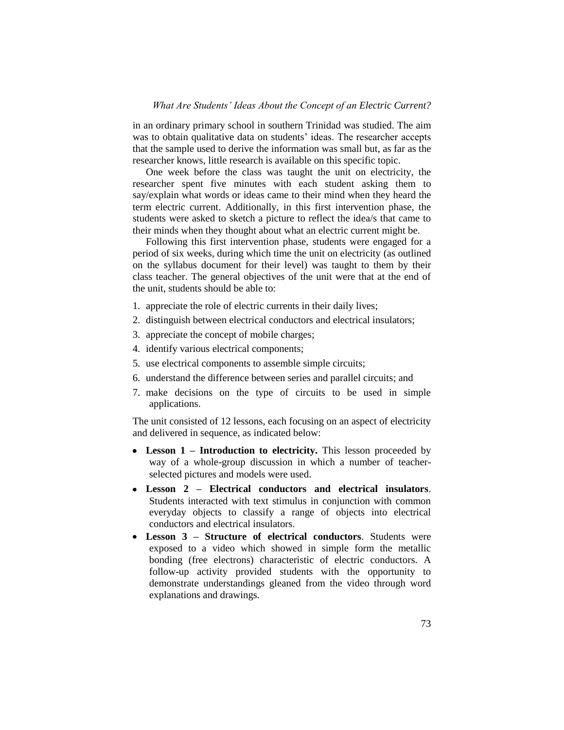#### *What Are Students' Ideas About the Concept of an Electric Current?*

in an ordinary primary school in southern Trinidad was studied. The aim was to obtain qualitative data on students' ideas. The researcher accepts that the sample used to derive the information was small but, as far as the researcher knows, little research is available on this specific topic.

One week before the class was taught the unit on electricity, the researcher spent five minutes with each student asking them to say/explain what words or ideas came to their mind when they heard the term electric current. Additionally, in this first intervention phase, the students were asked to sketch a picture to reflect the idea/s that came to their minds when they thought about what an electric current might be.

Following this first intervention phase, students were engaged for a period of six weeks, during which time the unit on electricity (as outlined on the syllabus document for their level) was taught to them by their class teacher. The general objectives of the unit were that at the end of the unit, students should be able to:

- 1. appreciate the role of electric currents in their daily lives;
- 2. distinguish between electrical conductors and electrical insulators;
- 3. appreciate the concept of mobile charges;
- 4. identify various electrical components;
- 5. use electrical components to assemble simple circuits;
- 6. understand the difference between series and parallel circuits; and
- 7. make decisions on the type of circuits to be used in simple applications.

The unit consisted of 12 lessons, each focusing on an aspect of electricity and delivered in sequence, as indicated below:

- **Lesson 1 – Introduction to electricity.** This lesson proceeded by way of a whole-group discussion in which a number of teacherselected pictures and models were used.
- **Lesson 2 – Electrical conductors and electrical insulators**. Students interacted with text stimulus in conjunction with common everyday objects to classify a range of objects into electrical conductors and electrical insulators.
- **Lesson 3 – Structure of electrical conductors**. Students were exposed to a video which showed in simple form the metallic bonding (free electrons) characteristic of electric conductors. A follow-up activity provided students with the opportunity to demonstrate understandings gleaned from the video through word explanations and drawings.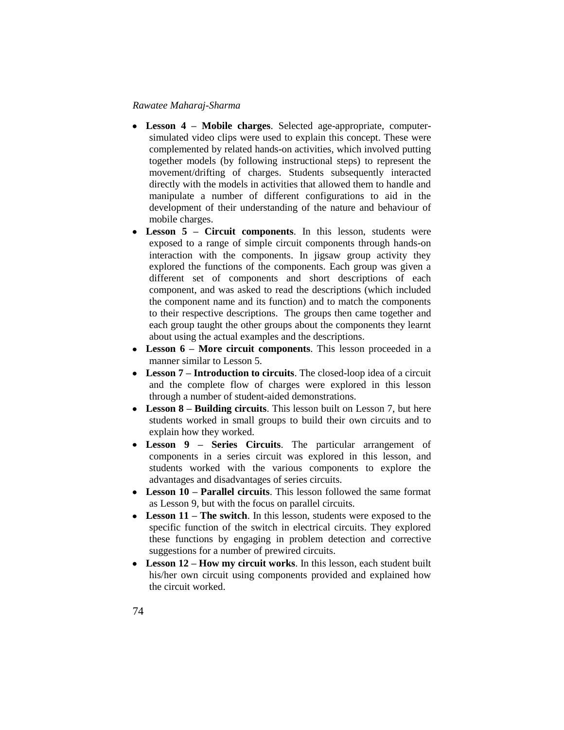- **Lesson 4 – Mobile charges**. Selected age-appropriate, computersimulated video clips were used to explain this concept. These were complemented by related hands-on activities, which involved putting together models (by following instructional steps) to represent the movement/drifting of charges. Students subsequently interacted directly with the models in activities that allowed them to handle and manipulate a number of different configurations to aid in the development of their understanding of the nature and behaviour of mobile charges.
- $\bullet$ **Lesson 5 – Circuit components**. In this lesson, students were exposed to a range of simple circuit components through hands-on interaction with the components. In jigsaw group activity they explored the functions of the components. Each group was given a different set of components and short descriptions of each component, and was asked to read the descriptions (which included the component name and its function) and to match the components to their respective descriptions. The groups then came together and each group taught the other groups about the components they learnt about using the actual examples and the descriptions.
- **Lesson 6 – More circuit components**. This lesson proceeded in a manner similar to Lesson 5.
- **Lesson 7 – Introduction to circuits**. The closed-loop idea of a circuit and the complete flow of charges were explored in this lesson through a number of student-aided demonstrations.
- **Lesson 8 – Building circuits**. This lesson built on Lesson 7, but here students worked in small groups to build their own circuits and to explain how they worked.
- **Lesson 9 – Series Circuits**. The particular arrangement of components in a series circuit was explored in this lesson, and students worked with the various components to explore the advantages and disadvantages of series circuits.
- **Lesson 10 – Parallel circuits**. This lesson followed the same format as Lesson 9, but with the focus on parallel circuits.
- **Lesson 11 – The switch**. In this lesson, students were exposed to the specific function of the switch in electrical circuits. They explored these functions by engaging in problem detection and corrective suggestions for a number of prewired circuits.
- **Lesson 12 – How my circuit works**. In this lesson, each student built his/her own circuit using components provided and explained how the circuit worked.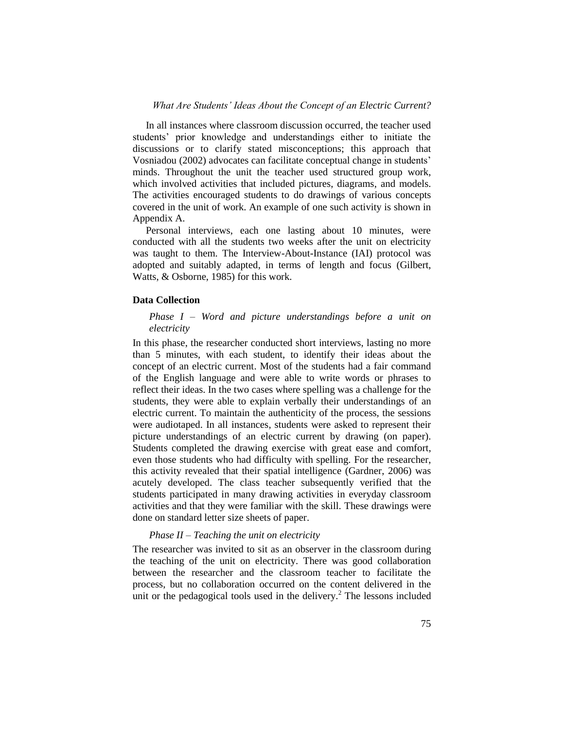In all instances where classroom discussion occurred, the teacher used students' prior knowledge and understandings either to initiate the discussions or to clarify stated misconceptions; this approach that Vosniadou (2002) advocates can facilitate conceptual change in students' minds. Throughout the unit the teacher used structured group work, which involved activities that included pictures, diagrams, and models. The activities encouraged students to do drawings of various concepts covered in the unit of work. An example of one such activity is shown in Appendix A.

Personal interviews, each one lasting about 10 minutes, were conducted with all the students two weeks after the unit on electricity was taught to them. The Interview-About-Instance (IAI) protocol was adopted and suitably adapted, in terms of length and focus (Gilbert, Watts, & Osborne, 1985) for this work.

#### **Data Collection**

### *Phase I – Word and picture understandings before a unit on electricity*

In this phase, the researcher conducted short interviews, lasting no more than 5 minutes, with each student, to identify their ideas about the concept of an electric current. Most of the students had a fair command of the English language and were able to write words or phrases to reflect their ideas. In the two cases where spelling was a challenge for the students, they were able to explain verbally their understandings of an electric current. To maintain the authenticity of the process, the sessions were audiotaped. In all instances, students were asked to represent their picture understandings of an electric current by drawing (on paper). Students completed the drawing exercise with great ease and comfort, even those students who had difficulty with spelling. For the researcher, this activity revealed that their spatial intelligence (Gardner, 2006) was acutely developed. The class teacher subsequently verified that the students participated in many drawing activities in everyday classroom activities and that they were familiar with the skill. These drawings were done on standard letter size sheets of paper.

#### *Phase II – Teaching the unit on electricity*

The researcher was invited to sit as an observer in the classroom during the teaching of the unit on electricity. There was good collaboration between the researcher and the classroom teacher to facilitate the process, but no collaboration occurred on the content delivered in the unit or the pedagogical tools used in the delivery.<sup>2</sup> The lessons included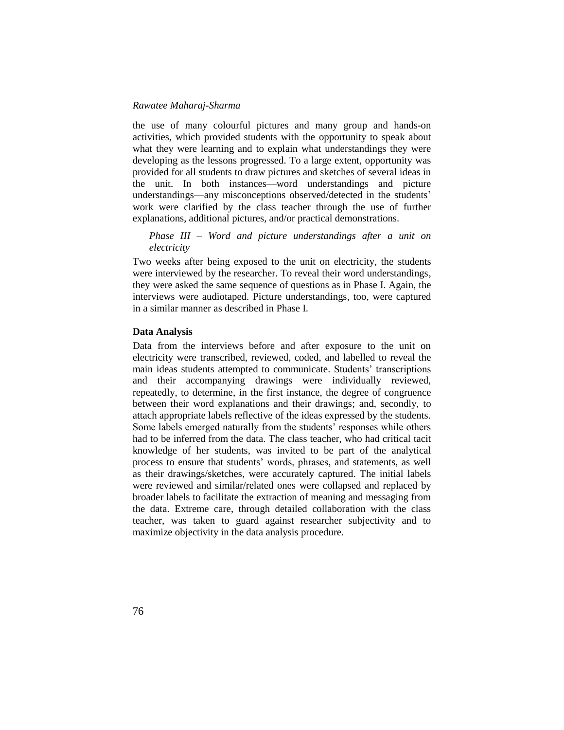the use of many colourful pictures and many group and hands-on activities, which provided students with the opportunity to speak about what they were learning and to explain what understandings they were developing as the lessons progressed. To a large extent, opportunity was provided for all students to draw pictures and sketches of several ideas in the unit. In both instances—word understandings and picture understandings—any misconceptions observed/detected in the students' work were clarified by the class teacher through the use of further explanations, additional pictures, and/or practical demonstrations.

*Phase III – Word and picture understandings after a unit on electricity*

Two weeks after being exposed to the unit on electricity, the students were interviewed by the researcher. To reveal their word understandings, they were asked the same sequence of questions as in Phase I. Again, the interviews were audiotaped. Picture understandings, too, were captured in a similar manner as described in Phase I.

#### **Data Analysis**

Data from the interviews before and after exposure to the unit on electricity were transcribed, reviewed, coded, and labelled to reveal the main ideas students attempted to communicate. Students' transcriptions and their accompanying drawings were individually reviewed, repeatedly, to determine, in the first instance, the degree of congruence between their word explanations and their drawings; and, secondly, to attach appropriate labels reflective of the ideas expressed by the students. Some labels emerged naturally from the students' responses while others had to be inferred from the data. The class teacher, who had critical tacit knowledge of her students, was invited to be part of the analytical process to ensure that students' words, phrases, and statements, as well as their drawings/sketches, were accurately captured. The initial labels were reviewed and similar/related ones were collapsed and replaced by broader labels to facilitate the extraction of meaning and messaging from the data. Extreme care, through detailed collaboration with the class teacher, was taken to guard against researcher subjectivity and to maximize objectivity in the data analysis procedure.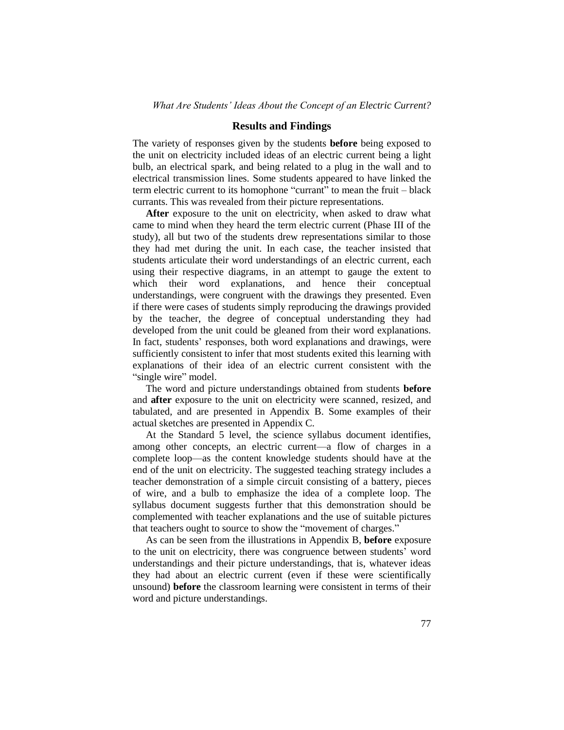### **Results and Findings**

The variety of responses given by the students **before** being exposed to the unit on electricity included ideas of an electric current being a light bulb, an electrical spark, and being related to a plug in the wall and to electrical transmission lines. Some students appeared to have linked the term electric current to its homophone "currant" to mean the fruit – black currants. This was revealed from their picture representations.

After exposure to the unit on electricity, when asked to draw what came to mind when they heard the term electric current (Phase III of the study), all but two of the students drew representations similar to those they had met during the unit. In each case, the teacher insisted that students articulate their word understandings of an electric current, each using their respective diagrams, in an attempt to gauge the extent to which their word explanations, and hence their conceptual understandings, were congruent with the drawings they presented. Even if there were cases of students simply reproducing the drawings provided by the teacher, the degree of conceptual understanding they had developed from the unit could be gleaned from their word explanations. In fact, students' responses, both word explanations and drawings, were sufficiently consistent to infer that most students exited this learning with explanations of their idea of an electric current consistent with the "single wire" model.

The word and picture understandings obtained from students **before**  and **after** exposure to the unit on electricity were scanned, resized, and tabulated, and are presented in Appendix B. Some examples of their actual sketches are presented in Appendix C.

At the Standard 5 level, the science syllabus document identifies, among other concepts, an electric current—a flow of charges in a complete loop—as the content knowledge students should have at the end of the unit on electricity. The suggested teaching strategy includes a teacher demonstration of a simple circuit consisting of a battery, pieces of wire, and a bulb to emphasize the idea of a complete loop. The syllabus document suggests further that this demonstration should be complemented with teacher explanations and the use of suitable pictures that teachers ought to source to show the "movement of charges."

As can be seen from the illustrations in Appendix B, **before** exposure to the unit on electricity, there was congruence between students' word understandings and their picture understandings, that is, whatever ideas they had about an electric current (even if these were scientifically unsound) **before** the classroom learning were consistent in terms of their word and picture understandings.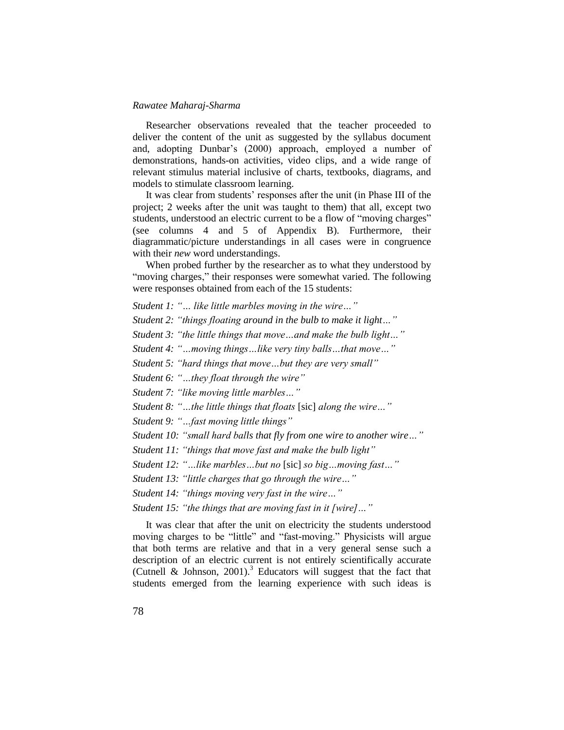Researcher observations revealed that the teacher proceeded to deliver the content of the unit as suggested by the syllabus document and, adopting Dunbar's (2000) approach, employed a number of demonstrations, hands-on activities, video clips, and a wide range of relevant stimulus material inclusive of charts, textbooks, diagrams, and models to stimulate classroom learning.

It was clear from students' responses after the unit (in Phase III of the project; 2 weeks after the unit was taught to them) that all, except two students, understood an electric current to be a flow of "moving charges" (see columns 4 and 5 of Appendix B). Furthermore, their diagrammatic/picture understandings in all cases were in congruence with their *new* word understandings.

When probed further by the researcher as to what they understood by "moving charges," their responses were somewhat varied. The following were responses obtained from each of the 15 students:

*Student 1: "… like little marbles moving in the wire…"*

*Student 2: "things floating around in the bulb to make it light…"*

*Student 3: "the little things that move…and make the bulb light…"*

*Student 4: "…moving things…like very tiny balls…that move…"*

*Student 5: "hard things that move…but they are very small"*

*Student 6: "…they float through the wire"*

*Student 7: "like moving little marbles…"*

*Student 8: "…the little things that floats* [sic] *along the wire…"*

*Student 9: "…fast moving little things"*

*Student 10: "small hard balls that fly from one wire to another wire…"*

*Student 11: "things that move fast and make the bulb light"*

*Student 12: "…like marbles…but no* [sic] *so big…moving fast…"*

*Student 13: "little charges that go through the wire…"*

*Student 14: "things moving very fast in the wire…"*

*Student 15: "the things that are moving fast in it [wire]…"*

It was clear that after the unit on electricity the students understood moving charges to be "little" and "fast-moving." Physicists will argue that both terms are relative and that in a very general sense such a description of an electric current is not entirely scientifically accurate (Cutnell & Johnson, 2001).<sup>3</sup> Educators will suggest that the fact that students emerged from the learning experience with such ideas is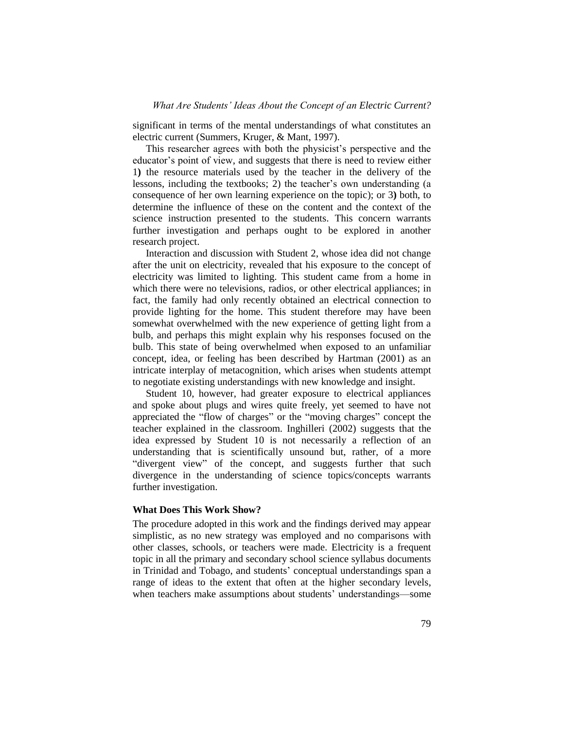significant in terms of the mental understandings of what constitutes an electric current (Summers, Kruger, & Mant, 1997).

This researcher agrees with both the physicist's perspective and the educator's point of view, and suggests that there is need to review either 1**)** the resource materials used by the teacher in the delivery of the lessons, including the textbooks; 2) the teacher's own understanding (a consequence of her own learning experience on the topic); or 3**)** both, to determine the influence of these on the content and the context of the science instruction presented to the students. This concern warrants further investigation and perhaps ought to be explored in another research project.

Interaction and discussion with Student 2, whose idea did not change after the unit on electricity, revealed that his exposure to the concept of electricity was limited to lighting. This student came from a home in which there were no televisions, radios, or other electrical appliances; in fact, the family had only recently obtained an electrical connection to provide lighting for the home. This student therefore may have been somewhat overwhelmed with the new experience of getting light from a bulb, and perhaps this might explain why his responses focused on the bulb. This state of being overwhelmed when exposed to an unfamiliar concept, idea, or feeling has been described by Hartman (2001) as an intricate interplay of metacognition, which arises when students attempt to negotiate existing understandings with new knowledge and insight.

Student 10, however, had greater exposure to electrical appliances and spoke about plugs and wires quite freely, yet seemed to have not appreciated the "flow of charges" or the "moving charges" concept the teacher explained in the classroom. Inghilleri (2002) suggests that the idea expressed by Student 10 is not necessarily a reflection of an understanding that is scientifically unsound but, rather, of a more "divergent view" of the concept, and suggests further that such divergence in the understanding of science topics/concepts warrants further investigation.

#### **What Does This Work Show?**

The procedure adopted in this work and the findings derived may appear simplistic, as no new strategy was employed and no comparisons with other classes, schools, or teachers were made. Electricity is a frequent topic in all the primary and secondary school science syllabus documents in Trinidad and Tobago, and students' conceptual understandings span a range of ideas to the extent that often at the higher secondary levels, when teachers make assumptions about students' understandings—some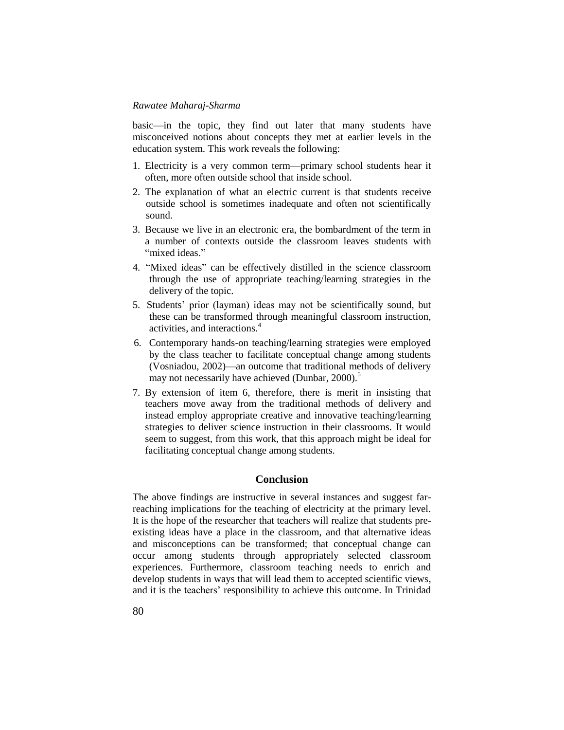basic—in the topic, they find out later that many students have misconceived notions about concepts they met at earlier levels in the education system. This work reveals the following:

- 1. Electricity is a very common term—primary school students hear it often, more often outside school that inside school.
- 2. The explanation of what an electric current is that students receive outside school is sometimes inadequate and often not scientifically sound.
- 3. Because we live in an electronic era, the bombardment of the term in a number of contexts outside the classroom leaves students with "mixed ideas."
- 4. "Mixed ideas" can be effectively distilled in the science classroom through the use of appropriate teaching/learning strategies in the delivery of the topic.
- 5. Students' prior (layman) ideas may not be scientifically sound, but these can be transformed through meaningful classroom instruction, activities, and interactions.<sup>4</sup>
- 6. Contemporary hands-on teaching/learning strategies were employed by the class teacher to facilitate conceptual change among students (Vosniadou, 2002)—an outcome that traditional methods of delivery may not necessarily have achieved (Dunbar, 2000).<sup>5</sup>
- 7. By extension of item 6, therefore, there is merit in insisting that teachers move away from the traditional methods of delivery and instead employ appropriate creative and innovative teaching/learning strategies to deliver science instruction in their classrooms. It would seem to suggest, from this work, that this approach might be ideal for facilitating conceptual change among students.

#### **Conclusion**

The above findings are instructive in several instances and suggest farreaching implications for the teaching of electricity at the primary level. It is the hope of the researcher that teachers will realize that students preexisting ideas have a place in the classroom, and that alternative ideas and misconceptions can be transformed; that conceptual change can occur among students through appropriately selected classroom experiences. Furthermore, classroom teaching needs to enrich and develop students in ways that will lead them to accepted scientific views, and it is the teachers' responsibility to achieve this outcome. In Trinidad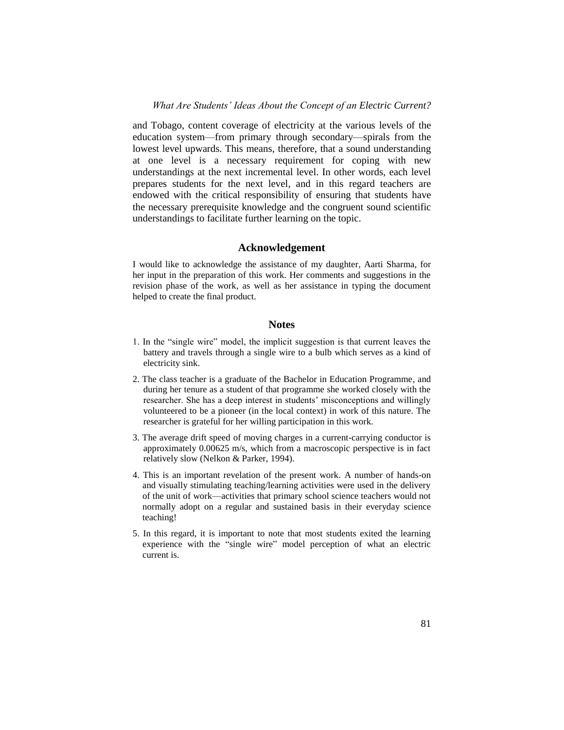and Tobago, content coverage of electricity at the various levels of the education system—from primary through secondary—spirals from the lowest level upwards. This means, therefore, that a sound understanding at one level is a necessary requirement for coping with new understandings at the next incremental level. In other words, each level prepares students for the next level, and in this regard teachers are endowed with the critical responsibility of ensuring that students have the necessary prerequisite knowledge and the congruent sound scientific understandings to facilitate further learning on the topic.

#### **Acknowledgement**

I would like to acknowledge the assistance of my daughter, Aarti Sharma, for her input in the preparation of this work. Her comments and suggestions in the revision phase of the work, as well as her assistance in typing the document helped to create the final product.

#### **Notes**

- 1. In the "single wire" model, the implicit suggestion is that current leaves the battery and travels through a single wire to a bulb which serves as a kind of electricity sink.
- 2. The class teacher is a graduate of the Bachelor in Education Programme, and during her tenure as a student of that programme she worked closely with the researcher. She has a deep interest in students' misconceptions and willingly volunteered to be a pioneer (in the local context) in work of this nature. The researcher is grateful for her willing participation in this work.
- 3. The average drift speed of moving charges in a current-carrying conductor is approximately 0.00625 m/s, which from a macroscopic perspective is in fact relatively slow (Nelkon & Parker, 1994).
- 4. This is an important revelation of the present work. A number of hands-on and visually stimulating teaching/learning activities were used in the delivery of the unit of work—activities that primary school science teachers would not normally adopt on a regular and sustained basis in their everyday science teaching!
- 5. In this regard, it is important to note that most students exited the learning experience with the "single wire" model perception of what an electric current is.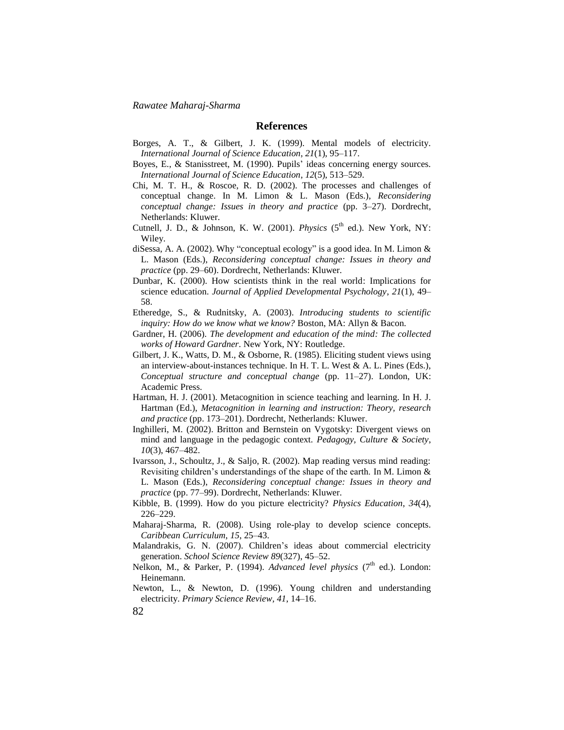#### **References**

- Borges, A. T., & Gilbert, J. K. (1999). Mental models of electricity. *International Journal of Science Education*, *21*(1), 95–117.
- Boyes, E., & Stanisstreet, M. (1990). Pupils' ideas concerning energy sources. *International Journal of Science Education*, *12*(5), 513–529.
- Chi, M. T. H., & Roscoe, R. D. (2002). The processes and challenges of conceptual change. In M. Limon & L. Mason (Eds.), *Reconsidering conceptual change: Issues in theory and practice* (pp. 3–27). Dordrecht, Netherlands: Kluwer.
- Cutnell, J. D., & Johnson, K. W. (2001). *Physics* (5<sup>th</sup> ed.). New York, NY: Wiley.
- diSessa, A. A. (2002). Why "conceptual ecology" is a good idea. In M. Limon  $&$ L. Mason (Eds.), *Reconsidering conceptual change: Issues in theory and practice* (pp. 29–60). Dordrecht, Netherlands: Kluwer.
- Dunbar, K. (2000). How scientists think in the real world: Implications for science education. *Journal of Applied Developmental Psychology*, *21*(1), 49– 58.
- Etheredge, S., & Rudnitsky, A. (2003). *Introducing students to scientific inquiry: How do we know what we know?* Boston, MA: Allyn & Bacon.
- Gardner, H. (2006). *The development and education of the mind: The collected works of Howard Gardner*. New York, NY: Routledge.
- Gilbert, J. K., Watts, D. M., & Osborne, R. (1985). Eliciting student views using an interview-about-instances technique. In H. T. L. West & A. L. Pines (Eds.), *Conceptual structure and conceptual change* (pp. 11–27). London, UK: Academic Press.
- Hartman, H. J. (2001). Metacognition in science teaching and learning. In H. J. Hartman (Ed.), *Metacognition in learning and instruction: Theory, research and practice* (pp. 173–201). Dordrecht, Netherlands: Kluwer.
- Inghilleri, M. (2002). Britton and Bernstein on Vygotsky: Divergent views on mind and language in the pedagogic context. *Pedagogy, Culture & Society*, *10*(3), 467–482.
- Ivarsson, J., Schoultz, J., & Saljo, R. (2002). Map reading versus mind reading: Revisiting children's understandings of the shape of the earth. In M. Limon & L. Mason (Eds.), *Reconsidering conceptual change: Issues in theory and practice* (pp. 77–99). Dordrecht, Netherlands: Kluwer.
- Kibble, B. (1999). How do you picture electricity? *Physics Education*, *34*(4), 226–229.
- Maharaj-Sharma, R. (2008). Using role-play to develop science concepts. *Caribbean Curriculum*, *15*, 25–43.
- Malandrakis, G. N. (2007). Children's ideas about commercial electricity generation. *School Science Review 89*(327), 45–52.
- Nelkon, M., & Parker, P. (1994). *Advanced level physics* (7<sup>th</sup> ed.). London: Heinemann.
- Newton, L., & Newton, D. (1996). Young children and understanding electricity. *Primary Science Review, 41*, 14–16.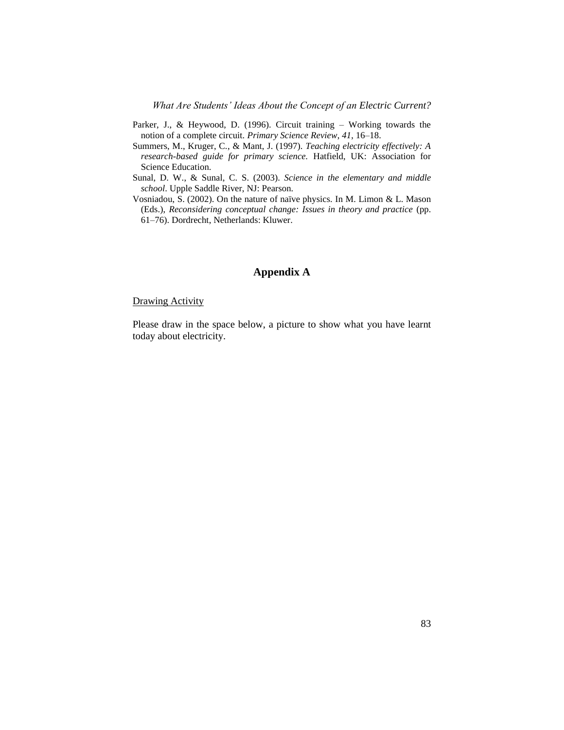*What Are Students' Ideas About the Concept of an Electric Current?*

- Parker, J., & Heywood, D. (1996). Circuit training Working towards the notion of a complete circuit. *Primary Science Review*, *41*, 16–18.
- Summers, M., Kruger, C., & Mant, J. (1997). *Teaching electricity effectively: A research-based guide for primary science.* Hatfield, UK: Association for Science Education.
- Sunal, D. W., & Sunal, C. S. (2003). *Science in the elementary and middle school*. Upple Saddle River, NJ: Pearson.
- Vosniadou, S. (2002). On the nature of naïve physics. In M. Limon & L. Mason (Eds.), *Reconsidering conceptual change: Issues in theory and practice* (pp. 61–76). Dordrecht, Netherlands: Kluwer.

## **Appendix A**

#### Drawing Activity

Please draw in the space below, a picture to show what you have learnt today about electricity.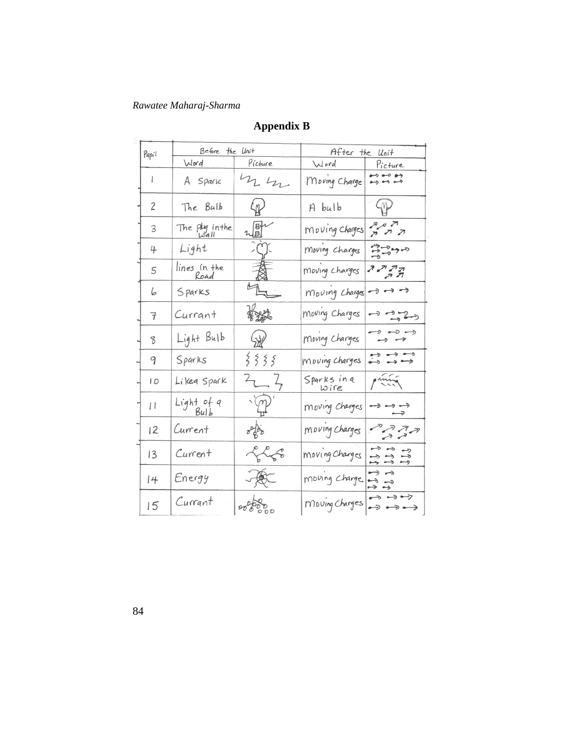| Pupil          | Before the Unit      |                                               | After the Unit       |                                                                                              |
|----------------|----------------------|-----------------------------------------------|----------------------|----------------------------------------------------------------------------------------------|
|                | Word                 | Picture                                       | Word                 | Picture                                                                                      |
| I              | A Spark              | $n_{\rm h}$                                   | Moving Charge        | $\leftrightarrow$ $\leftrightarrow$ $\leftrightarrow$<br>$\leftrightarrow$ $\leftrightarrow$ |
| $\overline{c}$ | The Bulb             | $\langle \mathbb{Q} \rangle$                  | A bulb               | 4V                                                                                           |
| 3              | The ply in the       | $\mathbb{Z}_{\mathbb{D}}^{[n]^{n}}$           | Moving Charges       |                                                                                              |
| 4              | Light                | $\left(\begin{array}{c} 1 \end{array}\right)$ | Moving charges       | 77777                                                                                        |
| 5              | lines in the<br>Road | 一人                                            | Moving Charges       | הרית<br>ה                                                                                    |
| 6              | Sparks               |                                               | Moving Charges       | $\rightarrow$ $\rightarrow$ $\rightarrow$                                                    |
| 7              | Currant              |                                               | Moving Charges       | $-2 - 2 - 3$                                                                                 |
| 8              | Light Bulb           | 58                                            | Moving Charges       | $\rightarrow$ $\rightarrow$ $\rightarrow$                                                    |
| 9              | Sparks               | 3335                                          | moving charges       | $\begin{array}{c} \bullet\Rightarrow\bullet\Rightarrow\bullet\Rightarrow\end{array}$         |
| 10             | Likea Spark          | $2 - 7$                                       | Sparks in a<br>Loire | print                                                                                        |
| $\perp$        | Light of a<br>Bulb   | $\sqrt{\mathcal{P}}$                          | moving charges       | っ                                                                                            |
| 12             | Current              | $\frac{\partial^2}{\partial \rho^2}$          | Moving Charges       | $P$ $R$                                                                                      |
| 13             | Current              | LLE                                           | moving Charges       | رے دے د<br>$\rightarrow$ $\rightarrow$ $\rightarrow$<br>رسم رسم رسم                          |
| 4              | Energy               | 真                                             | moving charge        | $\rightarrow$<br>دے د<br>رحہ وجہ                                                             |
| 15             | Currant              | 0000000                                       | Moving Charges       | $\rightarrow$ $\rightarrow$ $\rightarrow$<br>$\rightarrow$                                   |

# **Appendix B**